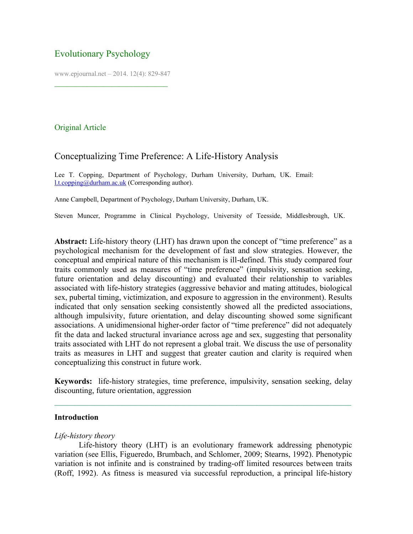# Evolutionary Psychology

www.epjournal.net – 2014. 12(4): 829-847

¯¯¯¯¯¯¯¯¯¯¯¯¯¯¯¯¯¯¯¯¯¯¯¯¯¯¯¯

# Original Article

# Conceptualizing Time Preference: A Life-History Analysis

Lee T. Copping, Department of Psychology, Durham University, Durham, UK. Email: [l.t.copping@durham.ac.uk](mailto:l.t.copping@durham.ac.uk) (Corresponding author).

Anne Campbell, Department of Psychology, Durham University, Durham, UK.

Steven Muncer, Programme in Clinical Psychology, University of Teesside, Middlesbrough, UK.

Abstract: Life-history theory (LHT) has drawn upon the concept of "time preference" as a psychological mechanism for the development of fast and slow strategies. However, the conceptual and empirical nature of this mechanism is ill-defined. This study compared four traits commonly used as measures of "time preference" (impulsivity, sensation seeking, future orientation and delay discounting) and evaluated their relationship to variables associated with life-history strategies (aggressive behavior and mating attitudes, biological sex, pubertal timing, victimization, and exposure to aggression in the environment). Results indicated that only sensation seeking consistently showed all the predicted associations, although impulsivity, future orientation, and delay discounting showed some significant associations. A unidimensional higher-order factor of "time preference" did not adequately fit the data and lacked structural invariance across age and sex, suggesting that personality traits associated with LHT do not represent a global trait. We discuss the use of personality traits as measures in LHT and suggest that greater caution and clarity is required when conceptualizing this construct in future work.

**Keywords:** life-history strategies, time preference, impulsivity, sensation seeking, delay discounting, future orientation, aggression

## **Introduction**

## *Life-history theory*

Life-history theory (LHT) is an evolutionary framework addressing phenotypic variation (see Ellis, Figueredo, Brumbach, and Schlomer, 2009; Stearns, 1992). Phenotypic variation is not infinite and is constrained by trading-off limited resources between traits (Roff, 1992). As fitness is measured via successful reproduction, a principal life-history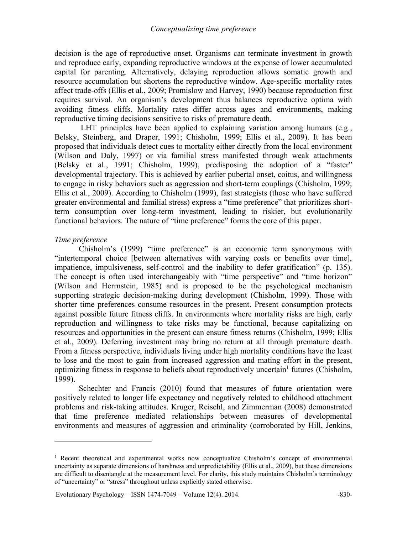decision is the age of reproductive onset. Organisms can terminate investment in growth and reproduce early, expanding reproductive windows at the expense of lower accumulated capital for parenting. Alternatively, delaying reproduction allows somatic growth and resource accumulation but shortens the reproductive window. Age-specific mortality rates affect trade-offs (Ellis et al., 2009; Promislow and Harvey, 1990) because reproduction first requires survival. An organism's development thus balances reproductive optima with avoiding fitness cliffs. Mortality rates differ across ages and environments, making reproductive timing decisions sensitive to risks of premature death.

LHT principles have been applied to explaining variation among humans (e.g., Belsky, Steinberg, and Draper, 1991; Chisholm, 1999; Ellis et al., 2009). It has been proposed that individuals detect cues to mortality either directly from the local environment (Wilson and Daly, 1997) or via familial stress manifested through weak attachments (Belsky et al., 1991; Chisholm, 1999), predisposing the adoption of a "faster" developmental trajectory. This is achieved by earlier pubertal onset, coitus, and willingness to engage in risky behaviors such as aggression and short-term couplings (Chisholm, 1999; Ellis et al., 2009). According to Chisholm (1999), fast strategists (those who have suffered greater environmental and familial stress) express a "time preference" that prioritizes shortterm consumption over long-term investment, leading to riskier, but evolutionarily functional behaviors. The nature of "time preference" forms the core of this paper.

## *Time preference*

 $\overline{a}$ 

Chisholm's (1999) "time preference" is an economic term synonymous with "intertemporal choice [between alternatives with varying costs or benefits over time], impatience, impulsiveness, self-control and the inability to defer gratification" (p. 135). The concept is often used interchangeably with "time perspective" and "time horizon" (Wilson and Herrnstein, 1985) and is proposed to be the psychological mechanism supporting strategic decision-making during development (Chisholm, 1999). Those with shorter time preferences consume resources in the present. Present consumption protects against possible future fitness cliffs. In environments where mortality risks are high, early reproduction and willingness to take risks may be functional, because capitalizing on resources and opportunities in the present can ensure fitness returns (Chisholm, 1999; Ellis et al., 2009). Deferring investment may bring no return at all through premature death. From a fitness perspective, individuals living under high mortality conditions have the least to lose and the most to gain from increased aggression and mating effort in the present, optimizing fitness in response to beliefs about reproductively uncertain<sup>1</sup> futures (Chisholm, 1999).

Schechter and Francis (2010) found that measures of future orientation were positively related to longer life expectancy and negatively related to childhood attachment problems and risk-taking attitudes. Kruger, Reischl, and Zimmerman (2008) demonstrated that time preference mediated relationships between measures of developmental environments and measures of aggression and criminality (corroborated by Hill, Jenkins,

<sup>&</sup>lt;sup>1</sup> Recent theoretical and experimental works now conceptualize Chisholm's concept of environmental uncertainty as separate dimensions of harshness and unpredictability (Ellis et al., 2009), but these dimensions are difficult to disentangle at the measurement level. For clarity, this study maintains Chisholm's terminology of "uncertainty" or "stress" throughout unless explicitly stated otherwise.

Evolutionary Psychology – ISSN 1474-7049 – Volume 12(4). 2014.  $\sim$  -830-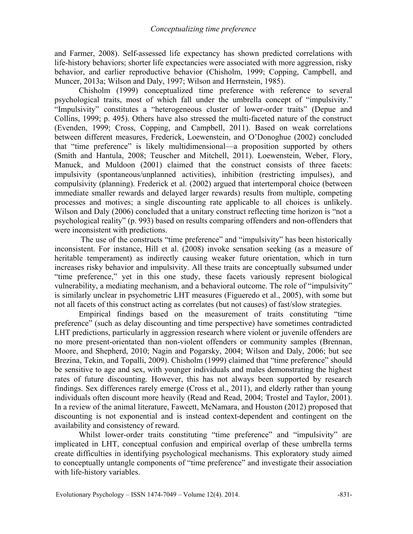and Farmer, 2008). Self-assessed life expectancy has shown predicted correlations with life-history behaviors; shorter life expectancies were associated with more aggression, risky behavior, and earlier reproductive behavior (Chisholm, 1999; Copping, Campbell, and Muncer, 2013a; Wilson and Daly, 1997; Wilson and Herrnstein, 1985).

Chisholm (1999) conceptualized time preference with reference to several psychological traits, most of which fall under the umbrella concept of "impulsivity." "Impulsivity" constitutes a "heterogeneous cluster of lower-order traits" (Depue and Collins, 1999; p. 495). Others have also stressed the multi-faceted nature of the construct (Evenden, 1999; Cross, Copping, and Campbell, 2011). Based on weak correlations between different measures, Frederick, Loewenstein, and O'Donoghue (2002) concluded that "time preference" is likely multidimensional—a proposition supported by others (Smith and Hantula, 2008; Teuscher and Mitchell, 2011). Loewenstein, Weber, Flory, Manuck, and Muldoon (2001) claimed that the construct consists of three facets: impulsivity (spontaneous/unplanned activities), inhibition (restricting impulses), and compulsivity (planning). Frederick et al. (2002) argued that intertemporal choice (between immediate smaller rewards and delayed larger rewards) results from multiple, competing processes and motives; a single discounting rate applicable to all choices is unlikely. Wilson and Daly (2006) concluded that a unitary construct reflecting time horizon is "not a psychological reality" (p. 993) based on results comparing offenders and non-offenders that were inconsistent with predictions.

The use of the constructs "time preference" and "impulsivity" has been historically inconsistent. For instance, Hill et al. (2008) invoke sensation seeking (as a measure of heritable temperament) as indirectly causing weaker future orientation, which in turn increases risky behavior and impulsivity. All these traits are conceptually subsumed under "time preference," yet in this one study, these facets variously represent biological vulnerability, a mediating mechanism, and a behavioral outcome. The role of "impulsivity" is similarly unclear in psychometric LHT measures (Figueredo et al., 2005), with some but not all facets of this construct acting as correlates (but not causes) of fast/slow strategies.

Empirical findings based on the measurement of traits constituting "time preference" (such as delay discounting and time perspective) have sometimes contradicted LHT predictions, particularly in aggression research where violent or juvenile offenders are no more present-orientated than non-violent offenders or community samples (Brennan, Moore, and Shepherd, 2010; Nagin and Pogarsky, 2004; Wilson and Daly, 2006; but see Brezina, Tekin, and Topalli, 2009). Chisholm (1999) claimed that "time preference" should be sensitive to age and sex, with younger individuals and males demonstrating the highest rates of future discounting. However, this has not always been supported by research findings. Sex differences rarely emerge (Cross et al., 2011), and elderly rather than young individuals often discount more heavily (Read and Read, 2004; Trostel and Taylor, 2001). In a review of the animal literature, Fawcett, McNamara, and Houston (2012) proposed that discounting is not exponential and is instead context-dependent and contingent on the availability and consistency of reward.

Whilst lower-order traits constituting "time preference" and "impulsivity" are implicated in LHT, conceptual confusion and empirical overlap of these umbrella terms create difficulties in identifying psychological mechanisms. This exploratory study aimed to conceptually untangle components of "time preference" and investigate their association with life-history variables.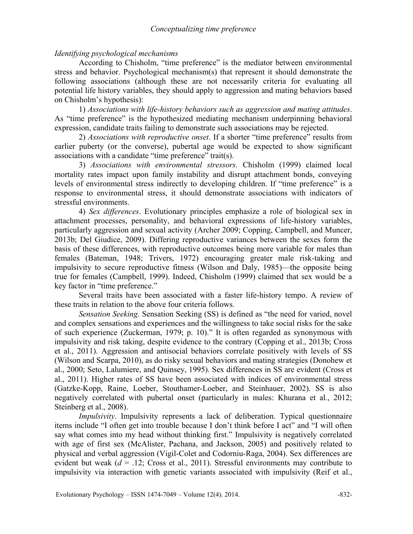# *Identifying psychological mechanisms*

According to Chisholm, "time preference" is the mediator between environmental stress and behavior. Psychological mechanism(s) that represent it should demonstrate the following associations (although these are not necessarily criteria for evaluating all potential life history variables, they should apply to aggression and mating behaviors based on Chisholm's hypothesis):

 1) *Associations with life-history behaviors such as aggression and mating attitudes*. As "time preference" is the hypothesized mediating mechanism underpinning behavioral expression, candidate traits failing to demonstrate such associations may be rejected.

 2) *Associations with reproductive onset*. If a shorter "time preference" results from earlier puberty (or the converse), pubertal age would be expected to show significant associations with a candidate "time preference" trait(s).

 3) *Associations with environmental stressors.* Chisholm (1999) claimed local mortality rates impact upon family instability and disrupt attachment bonds, conveying levels of environmental stress indirectly to developing children. If "time preference" is a response to environmental stress, it should demonstrate associations with indicators of stressful environments.

 4) *Sex differences*. Evolutionary principles emphasize a role of biological sex in attachment processes, personality, and behavioral expressions of life-history variables, particularly aggression and sexual activity (Archer 2009; Copping, Campbell, and Muncer, 2013b; Del Giudice, 2009). Differing reproductive variances between the sexes form the basis of these differences, with reproductive outcomes being more variable for males than females (Bateman, 1948; Trivers, 1972) encouraging greater male risk-taking and impulsivity to secure reproductive fitness (Wilson and Daly, 1985)—the opposite being true for females (Campbell, 1999). Indeed, Chisholm (1999) claimed that sex would be a key factor in "time preference."

Several traits have been associated with a faster life-history tempo. A review of these traits in relation to the above four criteria follows.

 *Sensation Seeking*. Sensation Seeking (SS) is defined as "the need for varied, novel and complex sensations and experiences and the willingness to take social risks for the sake of such experience (Zuckerman, 1979; p. 10)." It is often regarded as synonymous with impulsivity and risk taking, despite evidence to the contrary (Copping et al., 2013b; Cross et al., 2011). Aggression and antisocial behaviors correlate positively with levels of SS (Wilson and Scarpa, 2010), as do risky sexual behaviors and mating strategies (Donohew et al., 2000; Seto, Lalumiere, and Quinsey, 1995). Sex differences in SS are evident (Cross et al., 2011). Higher rates of SS have been associated with indices of environmental stress (Gatzke-Kopp, Raine, Loeber, Stouthamer-Loeber, and Steinhauer, 2002). SS is also negatively correlated with pubertal onset (particularly in males: Khurana et al., 2012; Steinberg et al., 2008).

*Impulsivity*. Impulsivity represents a lack of deliberation. Typical questionnaire items include "I often get into trouble because I don't think before I act" and "I will often say what comes into my head without thinking first." Impulsivity is negatively correlated with age of first sex (McAlister, Pachana, and Jackson, 2005) and positively related to physical and verbal aggression (Vigil-Colet and Codorniu-Raga, 2004). Sex differences are evident but weak  $(d = .12;$  Cross et al., 2011). Stressful environments may contribute to impulsivity via interaction with genetic variants associated with impulsivity (Reif et al.,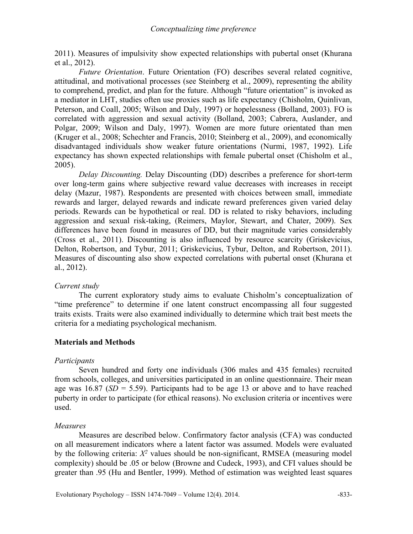2011). Measures of impulsivity show expected relationships with pubertal onset (Khurana et al., 2012).

 *Future Orientation*. Future Orientation (FO) describes several related cognitive, attitudinal, and motivational processes (see Steinberg et al., 2009), representing the ability to comprehend, predict, and plan for the future. Although "future orientation" is invoked as a mediator in LHT, studies often use proxies such as life expectancy (Chisholm, Quinlivan, Peterson, and Coall, 2005; Wilson and Daly, 1997) or hopelessness (Bolland, 2003). FO is correlated with aggression and sexual activity (Bolland, 2003; Cabrera, Auslander, and Polgar, 2009; Wilson and Daly, 1997). Women are more future orientated than men (Kruger et al., 2008; Schechter and Francis, 2010; Steinberg et al., 2009), and economically disadvantaged individuals show weaker future orientations (Nurmi, 1987, 1992). Life expectancy has shown expected relationships with female pubertal onset (Chisholm et al., 2005).

 *Delay Discounting.* Delay Discounting (DD) describes a preference for short-term over long-term gains where subjective reward value decreases with increases in receipt delay (Mazur, 1987). Respondents are presented with choices between small, immediate rewards and larger, delayed rewards and indicate reward preferences given varied delay periods. Rewards can be hypothetical or real. DD is related to risky behaviors, including aggression and sexual risk-taking, (Reimers, Maylor, Stewart, and Chater, 2009). Sex differences have been found in measures of DD, but their magnitude varies considerably (Cross et al., 2011). Discounting is also influenced by resource scarcity (Griskevicius, Delton, Robertson, and Tybur, 2011; Griskevicius, Tybur, Delton, and Robertson, 2011). Measures of discounting also show expected correlations with pubertal onset (Khurana et al., 2012).

# *Current study*

The current exploratory study aims to evaluate Chisholm's conceptualization of "time preference" to determine if one latent construct encompassing all four suggested traits exists. Traits were also examined individually to determine which trait best meets the criteria for a mediating psychological mechanism.

# **Materials and Methods**

# *Participants*

Seven hundred and forty one individuals (306 males and 435 females) recruited from schools, colleges, and universities participated in an online questionnaire. Their mean age was  $16.87$  ( $SD = 5.59$ ). Participants had to be age 13 or above and to have reached puberty in order to participate (for ethical reasons). No exclusion criteria or incentives were used.

# *Measures*

Measures are described below. Confirmatory factor analysis (CFA) was conducted on all measurement indicators where a latent factor was assumed. Models were evaluated by the following criteria:  $X^2$  values should be non-significant, RMSEA (measuring model complexity) should be .05 or below (Browne and Cudeck, 1993), and CFI values should be greater than .95 (Hu and Bentler, 1999). Method of estimation was weighted least squares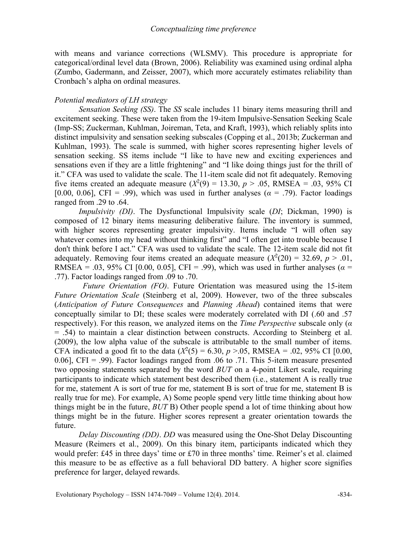with means and variance corrections (WLSMV). This procedure is appropriate for categorical/ordinal level data (Brown, 2006). Reliability was examined using ordinal alpha (Zumbo, Gadermann, and Zeisser, 2007), which more accurately estimates reliability than Cronbach's alpha on ordinal measures.

## *Potential mediators of LH strategy*

*Sensation Seeking (SS)*. The *SS* scale includes 11 binary items measuring thrill and excitement seeking. These were taken from the 19-item Impulsive-Sensation Seeking Scale (Imp-SS; Zuckerman, Kuhlman, Joireman, Teta, and Kraft, 1993), which reliably splits into distinct impulsivity and sensation seeking subscales (Copping et al., 2013b; Zuckerman and Kuhlman, 1993). The scale is summed, with higher scores representing higher levels of sensation seeking. SS items include "I like to have new and exciting experiences and sensations even if they are a little frightening" and "I like doing things just for the thrill of it." CFA was used to validate the scale. The 11-item scale did not fit adequately. Removing five items created an adequate measure  $(X^2(9) = 13.30, p > .05, RMSEA = .03, 95\% \text{ CI}$ [0.00, 0.06], CFI = .99), which was used in further analyses ( $\alpha$  = .79). Factor loadings ranged from .29 to .64.

*Impulsivity (DI)*. The Dysfunctional Impulsivity scale (*DI*; Dickman, 1990) is composed of 12 binary items measuring deliberative failure. The inventory is summed, with higher scores representing greater impulsivity. Items include "I will often say whatever comes into my head without thinking first" and "I often get into trouble because I don't think before I act." CFA was used to validate the scale. The 12-item scale did not fit adequately. Removing four items created an adequate measure  $(X^2(20) = 32.69, p > .01,$ RMSEA = .03, 95% CI [0.00, 0.05], CFI = .99), which was used in further analyses ( $\alpha$  = .77). Factor loadings ranged from .09 to .70.

 *Future Orientation (FO)*. Future Orientation was measured using the 15-item *Future Orientation Scale* (Steinberg et al, 2009). However, two of the three subscales (*Anticipation of Future Consequences* and *Planning Ahead*) contained items that were conceptually similar to DI; these scales were moderately correlated with DI (.60 and .57 respectively). For this reason, we analyzed items on the *Time Perspective* subscale only (*α* = .54) to maintain a clear distinction between constructs. According to Steinberg et al. (2009), the low alpha value of the subscale is attributable to the small number of items. CFA indicated a good fit to the data  $(X^2(5) = 6.30, p > 0.05, RMSEA = 0.02, 95\% \text{ CI } [0.00,$ 0.06], CFI = .99). Factor loadings ranged from .06 to .71. This 5-item measure presented two opposing statements separated by the word *BUT* on a 4-point Likert scale, requiring participants to indicate which statement best described them (i.e., statement A is really true for me, statement A is sort of true for me, statement B is sort of true for me, statement B is really true for me). For example, A) Some people spend very little time thinking about how things might be in the future, *BUT* B) Other people spend a lot of time thinking about how things might be in the future. Higher scores represent a greater orientation towards the future.

*Delay Discounting (DD)*. *DD* was measured using the One-Shot Delay Discounting Measure (Reimers et al., 2009). On this binary item, participants indicated which they would prefer: £45 in three days' time or £70 in three months' time. Reimer's et al. claimed this measure to be as effective as a full behavioral DD battery. A higher score signifies preference for larger, delayed rewards.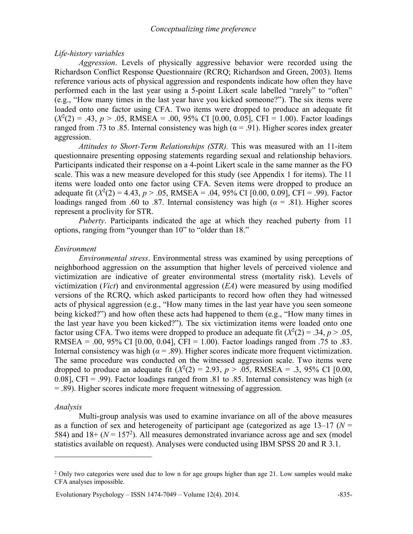## *Life-history variables*

*Aggression*. Levels of physically aggressive behavior were recorded using the Richardson Conflict Response Questionnaire (RCRQ; Richardson and Green, 2003). Items reference various acts of physical aggression and respondents indicate how often they have performed each in the last year using a 5-point Likert scale labelled "rarely" to "often" (e.g., "How many times in the last year have you kicked someone?"). The six items were loaded onto one factor using CFA. Two items were dropped to produce an adequate fit  $(X^2(2) = .43, p > .05, RMSEA = .00, 95\% \text{ CI} [0.00, 0.05], CFI = 1.00).$  Factor loadings ranged from .73 to .85. Internal consistency was high ( $α = .91$ ). Higher scores index greater aggression.

*Attitudes to Short-Term Relationships (STR).* This was measured with an 11-item questionnaire presenting opposing statements regarding sexual and relationship behaviors. Participants indicated their response on a 4-point Likert scale in the same manner as the FO scale. This was a new measure developed for this study (see Appendix 1 for items). The 11 items were loaded onto one factor using CFA. Seven items were dropped to produce an adequate fit  $(X^2(2) = 4.43, p > .05, RMSEA = .04, 95\% \text{ CI} [0.00, 0.09], CFI = .99)$ . Factor loadings ranged from .60 to .87. Internal consistency was high ( $\alpha$  = .81). Higher scores represent a proclivity for STR.

*Puberty*. Participants indicated the age at which they reached puberty from 11 options, ranging from "younger than 10" to "older than 18."

## *Environment*

*Environmental stress*. Environmental stress was examined by using perceptions of neighborhood aggression on the assumption that higher levels of perceived violence and victimization are indicative of greater environmental stress (mortality risk). Levels of victimization (*Vict*) and environmental aggression (*EA*) were measured by using modified versions of the RCRQ, which asked participants to record how often they had witnessed acts of physical aggression (e.g., "How many times in the last year have you seen someone being kicked?") and how often these acts had happened to them (e.g., "How many times in the last year have you been kicked?"). The six victimization items were loaded onto one factor using CFA. Two items were dropped to produce an adequate fit  $(X^2(2) = .34, p > .05,$ RMSEA = .00, 95% CI [0.00, 0.04], CFI = 1.00). Factor loadings ranged from .75 to .83. Internal consistency was high ( $\alpha$  = .89). Higher scores indicate more frequent victimization. The same procedure was conducted on the witnessed aggression scale. Two items were dropped to produce an adequate fit  $(X^2(2) = 2.93, p > .05, RMSEA = .3, 95\% \text{ CI } [0.00,$ 0.08], CFI = .99). Factor loadings ranged from .81 to .85. Internal consistency was high (*α* = .89). Higher scores indicate more frequent witnessing of aggression.

#### *Analysis*

 $\overline{a}$ 

Multi-group analysis was used to examine invariance on all of the above measures as a function of sex and heterogeneity of participant age (categorized as age  $13-17$  ( $N =$ 584) and  $18+(N = 157<sup>2</sup>)$ . All measures demonstrated invariance across age and sex (model statistics available on request). Analyses were conducted using IBM SPSS 20 and R 3.1.

Evolutionary Psychology – ISSN 1474-7049 – Volume 12(4). 2014.  $-835$ -

<sup>&</sup>lt;sup>2</sup> Only two categories were used due to low n for age groups higher than age 21. Low samples would make CFA analyses impossible.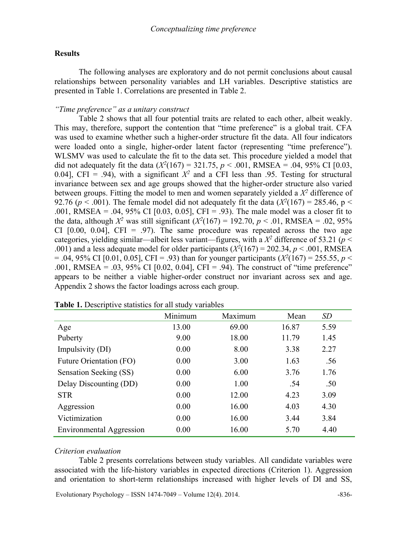# **Results**

The following analyses are exploratory and do not permit conclusions about causal relationships between personality variables and LH variables. Descriptive statistics are presented in Table 1. Correlations are presented in Table 2.

## *"Time preference" as a unitary construct*

Table 2 shows that all four potential traits are related to each other, albeit weakly. This may, therefore, support the contention that "time preference" is a global trait. CFA was used to examine whether such a higher-order structure fit the data. All four indicators were loaded onto a single, higher-order latent factor (representing "time preference"). WLSMV was used to calculate the fit to the data set. This procedure yielded a model that did not adequately fit the data  $(X^2(167) = 321.75, p < .001, RMSEA = .04, 95\% \text{ CI } [0.03,$ 0.04], CFI = .94), with a significant  $X^2$  and a CFI less than .95. Testing for structural invariance between sex and age groups showed that the higher-order structure also varied between groups. Fitting the model to men and women separately yielded a  $X^2$  difference of 92.76 ( $p < .001$ ). The female model did not adequately fit the data ( $X^2(167) = 285.46$ ,  $p <$ .001, RMSEA = .04, 95% CI [0.03, 0.05], CFI = .93). The male model was a closer fit to the data, although  $X^2$  was still significant  $(X^2(167) = 192.70, p < .01, RMSEA = .02, 95\%$ CI  $[0.00, 0.04]$ , CFI = .97). The same procedure was repeated across the two age categories, yielding similar—albeit less variant—figures, with a  $X^2$  difference of 53.21 ( $p$  < .001) and a less adequate model for older participants  $(X^2(167) = 202.34, p < .001, RMSEA$  $= .04, 95\%$  CI [0.01, 0.05], CFI = .93) than for younger participants ( $X^2(167) = 255.55, p <$ .001, RMSEA = .03, 95% CI  $[0.02, 0.04]$ , CFI = .94). The construct of "time preference" appears to be neither a viable higher-order construct nor invariant across sex and age. Appendix 2 shows the factor loadings across each group.

|                                 | Minimum | Maximum | Mean  | SD   |
|---------------------------------|---------|---------|-------|------|
| Age                             | 13.00   | 69.00   | 16.87 | 5.59 |
| Puberty                         | 9.00    | 18.00   | 11.79 | 1.45 |
| Impulsivity (DI)                | 0.00    | 8.00    | 3.38  | 2.27 |
| <b>Future Orientation (FO)</b>  | 0.00    | 3.00    | 1.63  | .56  |
| Sensation Seeking (SS)          | 0.00    | 6.00    | 3.76  | 1.76 |
| Delay Discounting (DD)          | 0.00    | 1.00    | .54   | .50  |
| <b>STR</b>                      | 0.00    | 12.00   | 4.23  | 3.09 |
| Aggression                      | 0.00    | 16.00   | 4.03  | 4.30 |
| Victimization                   | 0.00    | 16.00   | 3.44  | 3.84 |
| <b>Environmental Aggression</b> | 0.00    | 16.00   | 5.70  | 4.40 |

**Table 1.** Descriptive statistics for all study variables

#### *Criterion evaluation*

Table 2 presents correlations between study variables. All candidate variables were associated with the life-history variables in expected directions (Criterion 1). Aggression and orientation to short-term relationships increased with higher levels of DI and SS,

Evolutionary Psychology – ISSN 1474-7049 – Volume 12(4). 2014.  $-836$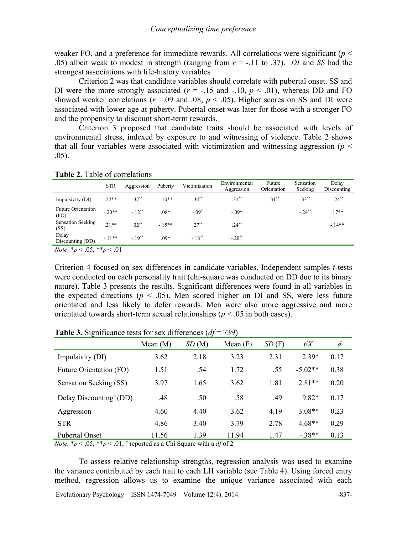weaker FO, and a preference for immediate rewards. All correlations were significant (*p* < .05) albeit weak to modest in strength (ranging from *r* = -.11 to .37). *DI* and *SS* had the strongest associations with life-history variables

Criterion 2 was that candidate variables should correlate with pubertal onset. SS and DI were the more strongly associated ( $r = -.15$  and  $-.10$ ,  $p < .01$ ), whereas DD and FO showed weaker correlations ( $r = .09$  and  $.08$ ,  $p < .05$ ). Higher scores on SS and DI were associated with lower age at puberty. Pubertal onset was later for those with a stronger FO and the propensity to discount short-term rewards.

Criterion 3 proposed that candidate traits should be associated with levels of environmental stress, indexed by exposure to and witnessing of violence. Table 2 shows that all four variables were associated with victimization and witnessing aggression ( $p <$ .05).

|                                                | <b>STR</b> | Aggression | Puberty | Victimization | Environmental<br>Aggression | Future<br>Orientation | Sensation<br>Seeking | Delay<br>Discounting |
|------------------------------------------------|------------|------------|---------|---------------|-----------------------------|-----------------------|----------------------|----------------------|
| Impulsivity (DI)                               | $.22**$    | $37***$    | $-10**$ | $34^{**}$     | $.31***$                    | $-.31$ <sup>**</sup>  | $.33***$             | $-.24***$            |
| Future Orientation<br>(FO)                     | $-20**$    | $-12^{**}$ | $.08*$  | $-.09*$       | $-09*$                      |                       | $-.24***$            | $.17**$              |
| <b>Sensation Seeking</b><br>(SS)               | $21**$     | $32**$     | $-15**$ | $27**$        | $.24***$                    |                       |                      | $-14**$              |
| Delay<br>Discounting (DD)                      | $-11**$    | $-19^{**}$ | $.09*$  | $-.18***$     | $-.20$ <sup>**</sup>        |                       |                      |                      |
| $\mathbf{r}$ and $\mathbf{r}$ and $\mathbf{r}$ |            |            |         |               |                             |                       |                      |                      |

# **Table 2.** Table of correlations

*Note*.  $*_{p} < .05, **_{p} < .01$ 

Criterion 4 focused on sex differences in candidate variables. Independent samples *t*-tests were conducted on each personality trait (chi-square was conducted on DD due to its binary nature). Table 3 presents the results. Significant differences were found in all variables in the expected directions ( $p < .05$ ). Men scored higher on DI and SS, were less future orientated and less likely to defer rewards. Men were also more aggressive and more orientated towards short-term sexual relationships ( $p < .05$  in both cases).

|                                                                                                                                                                                                                                                                                                          | Mean $(M)$ | SD(M) | Mean $(F)$ | SD(F) | $t/X^2$   | $\overline{d}$ |
|----------------------------------------------------------------------------------------------------------------------------------------------------------------------------------------------------------------------------------------------------------------------------------------------------------|------------|-------|------------|-------|-----------|----------------|
| Impulsivity (DI)                                                                                                                                                                                                                                                                                         | 3.62       | 2.18  | 3.23       | 2.31  | $2.39*$   | 0.17           |
| Future Orientation (FO)                                                                                                                                                                                                                                                                                  | 1.51       | .54   | 1.72       | .55   | $-5.02**$ | 0.38           |
| Sensation Seeking (SS)                                                                                                                                                                                                                                                                                   | 3.97       | 1.65  | 3.62       | 1.81  | $2.81**$  | 0.20           |
| Delay Discounting <sup><math>\pi</math></sup> (DD)                                                                                                                                                                                                                                                       | .48        | .50   | .58        | .49   | $9.82*$   | 0.17           |
| Aggression                                                                                                                                                                                                                                                                                               | 4.60       | 4.40  | 3.62       | 4.19  | $3.08**$  | 0.23           |
| <b>STR</b>                                                                                                                                                                                                                                                                                               | 4.86       | 3.40  | 3.79       | 2.78  | $4.68**$  | 0.29           |
| <b>Pubertal Onset</b><br>$M_{11}$ , $M_{22}$ , $M_{12}$ , $M_{23}$ , $M_{24}$ , $M_{25}$ , $M_{26}$ , $M_{27}$ , $M_{28}$ , $M_{29}$ , $M_{20}$ , $M_{20}$ , $M_{20}$ , $M_{20}$ , $M_{20}$ , $M_{20}$ , $M_{20}$ , $M_{20}$ , $M_{20}$ , $M_{20}$ , $M_{20}$ , $M_{20}$ , $M_{20}$ , $M_{20}$ , $M_{20$ | 11.56      | 1 39  | 11.94      | 1.47  | $-.38**$  | 0.13           |

**Table 3.** Significance tests for sex differences (*df* = 739)

*Note.*  $* p < .05$ ,  $* p < .01$ ;  $*$  reported as a Chi Square with a *df* of 2

To assess relative relationship strengths, regression analysis was used to examine the variance contributed by each trait to each LH variable (see Table 4). Using forced entry method, regression allows us to examine the unique variance associated with each

Evolutionary Psychology – ISSN 1474-7049 – Volume 12(4). 2014.  $-837$ -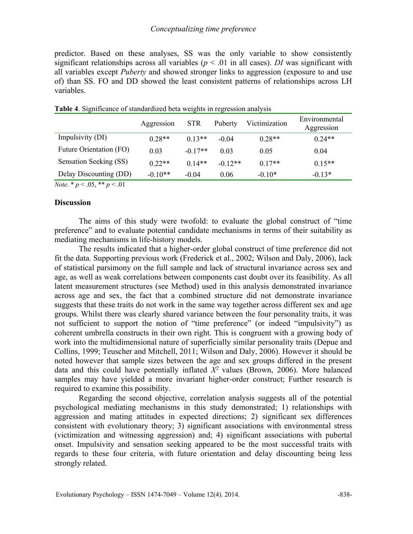predictor. Based on these analyses, SS was the only variable to show consistently significant relationships across all variables ( $p < .01$  in all cases). *DI* was significant with all variables except *Puberty* and showed stronger links to aggression (exposure to and use of) than SS. FO and DD showed the least consistent patterns of relationships across LH variables.

|                         | Aggression | <b>STR</b> | Puberty   | Victimization | Environmental<br>Aggression |
|-------------------------|------------|------------|-----------|---------------|-----------------------------|
| Impulsivity (DI)        | $0.28**$   | $0.13**$   | $-0.04$   | $0.28**$      | $0.24**$                    |
| Future Orientation (FO) | 0.03       | $-0.17**$  | 0.03      | 0.05          | 0.04                        |
| Sensation Seeking (SS)  | $0.22**$   | $0.14**$   | $-0.12**$ | $0.17**$      | $0.15**$                    |
| Delay Discounting (DD)  | $-0.10**$  | $-0.04$    | 0.06      | $-0.10*$      | $-0.13*$                    |

|  | Table 4. Significance of standardized beta weights in regression analysis |  |  |
|--|---------------------------------------------------------------------------|--|--|

*Note*. \* *p* < .05, \*\* *p* < .01

#### **Discussion**

The aims of this study were twofold: to evaluate the global construct of "time preference" and to evaluate potential candidate mechanisms in terms of their suitability as mediating mechanisms in life-history models.

The results indicated that a higher-order global construct of time preference did not fit the data. Supporting previous work (Frederick et al., 2002; Wilson and Daly, 2006), lack of statistical parsimony on the full sample and lack of structural invariance across sex and age, as well as weak correlations between components cast doubt over its feasibility. As all latent measurement structures (see Method) used in this analysis demonstrated invariance across age and sex, the fact that a combined structure did not demonstrate invariance suggests that these traits do not work in the same way together across different sex and age groups. Whilst there was clearly shared variance between the four personality traits, it was not sufficient to support the notion of "time preference" (or indeed "impulsivity") as coherent umbrella constructs in their own right. This is congruent with a growing body of work into the multidimensional nature of superficially similar personality traits (Depue and Collins, 1999; Teuscher and Mitchell, 2011; Wilson and Daly, 2006). However it should be noted however that sample sizes between the age and sex groups differed in the present data and this could have potentially inflated  $X<sup>2</sup>$  values (Brown, 2006). More balanced samples may have yielded a more invariant higher-order construct; Further research is required to examine this possibility.

Regarding the second objective, correlation analysis suggests all of the potential psychological mediating mechanisms in this study demonstrated; 1) relationships with aggression and mating attitudes in expected directions; 2) significant sex differences consistent with evolutionary theory; 3) significant associations with environmental stress (victimization and witnessing aggression) and; 4) significant associations with pubertal onset. Impulsivity and sensation seeking appeared to be the most successful traits with regards to these four criteria, with future orientation and delay discounting being less strongly related.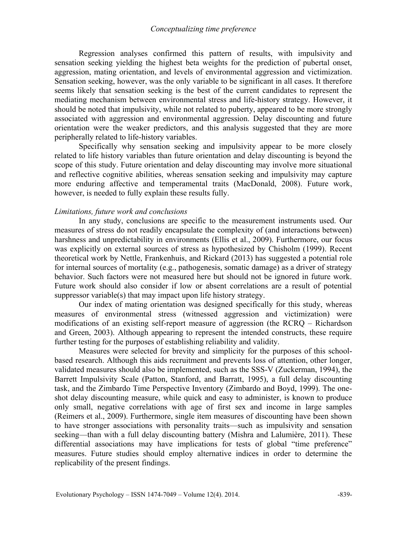#### *Conceptualizing time preference*

Regression analyses confirmed this pattern of results, with impulsivity and sensation seeking yielding the highest beta weights for the prediction of pubertal onset, aggression, mating orientation, and levels of environmental aggression and victimization. Sensation seeking, however, was the only variable to be significant in all cases. It therefore seems likely that sensation seeking is the best of the current candidates to represent the mediating mechanism between environmental stress and life-history strategy. However, it should be noted that impulsivity, while not related to puberty, appeared to be more strongly associated with aggression and environmental aggression. Delay discounting and future orientation were the weaker predictors, and this analysis suggested that they are more peripherally related to life-history variables.

Specifically why sensation seeking and impulsivity appear to be more closely related to life history variables than future orientation and delay discounting is beyond the scope of this study. Future orientation and delay discounting may involve more situational and reflective cognitive abilities, whereas sensation seeking and impulsivity may capture more enduring affective and temperamental traits (MacDonald, 2008). Future work, however, is needed to fully explain these results fully.

# *Limitations, future work and conclusions*

 In any study, conclusions are specific to the measurement instruments used. Our measures of stress do not readily encapsulate the complexity of (and interactions between) harshness and unpredictability in environments (Ellis et al., 2009). Furthermore, our focus was explicitly on external sources of stress as hypothesized by Chisholm (1999). Recent theoretical work by Nettle, Frankenhuis, and Rickard (2013) has suggested a potential role for internal sources of mortality (e.g., pathogenesis, somatic damage) as a driver of strategy behavior. Such factors were not measured here but should not be ignored in future work. Future work should also consider if low or absent correlations are a result of potential suppressor variable(s) that may impact upon life history strategy.

Our index of mating orientation was designed specifically for this study, whereas measures of environmental stress (witnessed aggression and victimization) were modifications of an existing self-report measure of aggression (the RCRQ – Richardson and Green, 2003). Although appearing to represent the intended constructs, these require further testing for the purposes of establishing reliability and validity.

Measures were selected for brevity and simplicity for the purposes of this schoolbased research. Although this aids recruitment and prevents loss of attention, other longer, validated measures should also be implemented, such as the SSS-V (Zuckerman, 1994), the Barrett Impulsivity Scale (Patton, Stanford, and Barratt, 1995), a full delay discounting task, and the Zimbardo Time Perspective Inventory (Zimbardo and Boyd, 1999). The oneshot delay discounting measure, while quick and easy to administer, is known to produce only small, negative correlations with age of first sex and income in large samples (Reimers et al., 2009). Furthermore, single item measures of discounting have been shown to have stronger associations with personality traits—such as impulsivity and sensation seeking—than with a full delay discounting battery (Mishra and Lalumière, 2011). These differential associations may have implications for tests of global "time preference" measures. Future studies should employ alternative indices in order to determine the replicability of the present findings.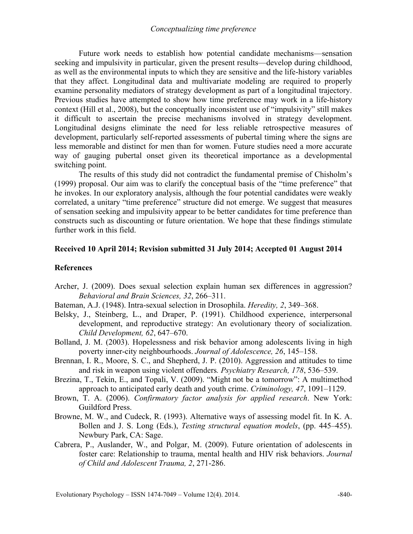Future work needs to establish how potential candidate mechanisms—sensation seeking and impulsivity in particular, given the present results—develop during childhood, as well as the environmental inputs to which they are sensitive and the life-history variables that they affect. Longitudinal data and multivariate modeling are required to properly examine personality mediators of strategy development as part of a longitudinal trajectory. Previous studies have attempted to show how time preference may work in a life-history context (Hill et al., 2008), but the conceptually inconsistent use of "impulsivity" still makes it difficult to ascertain the precise mechanisms involved in strategy development. Longitudinal designs eliminate the need for less reliable retrospective measures of development, particularly self-reported assessments of pubertal timing where the signs are less memorable and distinct for men than for women. Future studies need a more accurate way of gauging pubertal onset given its theoretical importance as a developmental switching point.

The results of this study did not contradict the fundamental premise of Chisholm's (1999) proposal. Our aim was to clarify the conceptual basis of the "time preference" that he invokes. In our exploratory analysis, although the four potential candidates were weakly correlated, a unitary "time preference" structure did not emerge. We suggest that measures of sensation seeking and impulsivity appear to be better candidates for time preference than constructs such as discounting or future orientation. We hope that these findings stimulate further work in this field.

## **Received 10 April 2014; Revision submitted 31 July 2014; Accepted 01 August 2014**

### **References**

- Archer, J. (2009). Does sexual selection explain human sex differences in aggression? *Behavioral and Brain Sciences, 32*, 266–311.
- Bateman, A.J. (1948). Intra-sexual selection in Drosophila. *Heredity, 2*, 349–368.
- Belsky, J., Steinberg, L., and Draper, P. (1991). Childhood experience, interpersonal development, and reproductive strategy: An evolutionary theory of socialization. *Child Development, 62*, 647–670.
- Bolland, J. M. (2003). Hopelessness and risk behavior among adolescents living in high poverty inner-city neighbourhoods. *Journal of Adolescence, 26*, 145–158.
- Brennan, I. R., Moore, S. C., and Shepherd, J. P. (2010). Aggression and attitudes to time and risk in weapon using violent offenders*. Psychiatry Research, 178*, 536–539.
- Brezina, T., Tekin, E., and Topali, V. (2009). "Might not be a tomorrow": A multimethod approach to anticipated early death and youth crime. *Criminology, 47*, 1091–1129.
- Brown, T. A. (2006). *Confirmatory factor analysis for applied research*. New York: Guildford Press.
- Browne, M. W., and Cudeck, R. (1993). Alternative ways of assessing model fit. In K. A. Bollen and J. S. Long (Eds.), *Testing structural equation models*, (pp. 445–455). Newbury Park, CA: Sage.
- Cabrera, P., Auslander, W., and Polgar, M. (2009). Future orientation of adolescents in foster care: Relationship to trauma, mental health and HIV risk behaviors. *Journal of Child and Adolescent Trauma, 2*, 271-286.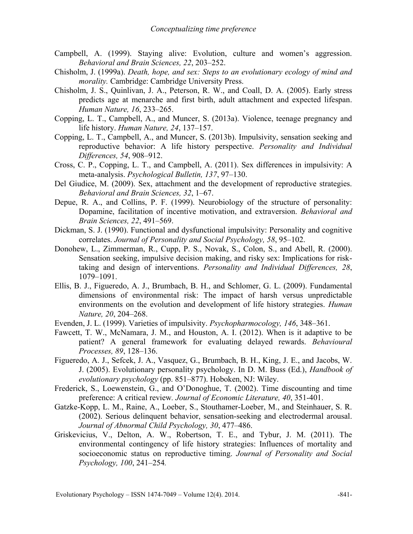- Campbell, A. (1999). Staying alive: Evolution, culture and women's aggression. *Behavioral and Brain Sciences, 22*, 203–252.
- Chisholm, J. (1999a). *Death, hope, and sex: Steps to an evolutionary ecology of mind and morality.* Cambridge: Cambridge University Press.
- Chisholm, J. S., Quinlivan, J. A., Peterson, R. W., and Coall, D. A. (2005). Early stress predicts age at menarche and first birth, adult attachment and expected lifespan. *Human Nature, 16*, 233–265.
- Copping, L. T., Campbell, A., and Muncer, S. (2013a). Violence, teenage pregnancy and life history. *Human Nature, 24*, 137–157.
- Copping, L. T., Campbell, A., and Muncer, S. (2013b). Impulsivity, sensation seeking and reproductive behavior: A life history perspective. *Personality and Individual Differences, 54*, 908–912.
- Cross, C. P., Copping, L. T., and Campbell, A. (2011). Sex differences in impulsivity: A meta-analysis. *Psychological Bulletin, 137*, 97–130.
- Del Giudice, M. (2009). Sex, attachment and the development of reproductive strategies. *Behavioral and Brain Sciences, 32*, 1–67.
- Depue, R. A., and Collins, P. F. (1999). Neurobiology of the structure of personality: Dopamine, facilitation of incentive motivation, and extraversion. *Behavioral and Brain Sciences, 22*, 491–569.
- Dickman, S. J. (1990). Functional and dysfunctional impulsivity: Personality and cognitive correlates. *Journal of Personality and Social Psychology, 58*, 95–102.
- Donohew, L., Zimmerman, R., Cupp, P. S., Novak, S., Colon, S., and Abell, R. (2000). Sensation seeking, impulsive decision making, and risky sex: Implications for risktaking and design of interventions. *Personality and Individual Differences, 28*, 1079–1091.
- Ellis, B. J., Figueredo, A. J., Brumbach, B. H., and Schlomer, G. L. (2009). Fundamental dimensions of environmental risk: The impact of harsh versus unpredictable environments on the evolution and development of life history strategies. *Human Nature, 20*, 204–268.
- Evenden, J. L. (1999). Varieties of impulsivity. *Psychopharmocology, 146*, 348–361.
- Fawcett, T. W., McNamara, J. M., and Houston, A. I. (2012). When is it adaptive to be patient? A general framework for evaluating delayed rewards. *Behavioural Processes, 89*, 128–136.
- Figueredo, A. J., Sefcek, J. A., Vasquez, G., Brumbach, B. H., King, J. E., and Jacobs, W. J. (2005). Evolutionary personality psychology. In D. M. Buss (Ed.), *Handbook of evolutionary psychology* (pp. 851–877). Hoboken, NJ: Wiley.
- Frederick, S., Loewenstein, G., and O'Donoghue, T. (2002). Time discounting and time preference: A critical review*. Journal of Economic Literature, 40*, 351-401.
- Gatzke-Kopp, L. M., Raine, A., Loeber, S., Stouthamer-Loeber, M., and Steinhauer, S. R. (2002). Serious delinquent behavior, sensation-seeking and electrodermal arousal. *Journal of Abnormal Child Psychology, 30*, 477–486.
- Griskevicius, V., Delton, A. W., Robertson, T. E., and Tybur, J. M. (2011). The environmental contingency of life history strategies: Influences of mortality and socioeconomic status on reproductive timing. *Journal of Personality and Social Psychology, 100*, 241–254*.*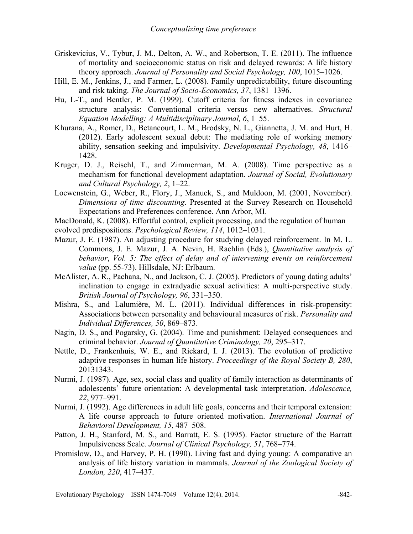- Griskevicius, V., Tybur, J. M., Delton, A. W., and Robertson, T. E. (2011). The influence of mortality and socioeconomic status on risk and delayed rewards: A life history theory approach. *Journal of Personality and Social Psychology, 100*, 1015–1026.
- Hill, E. M., Jenkins, J., and Farmer, L. (2008). Family unpredictability, future discounting and risk taking. *The Journal of Socio-Economics, 37*, 1381–1396.
- Hu, L-T., and Bentler, P. M. (1999). Cutoff criteria for fitness indexes in covariance structure analysis: Conventional criteria versus new alternatives. *Structural Equation Modelling: A Multidisciplinary Journal, 6*, 1–55.
- Khurana, A., Romer, D., Betancourt, L. M., Brodsky, N. L., Giannetta, J. M. and Hurt, H. (2012). Early adolescent sexual debut: The mediating role of working memory ability, sensation seeking and impulsivity. *Developmental Psychology, 48*, 1416– 1428.
- Kruger, D. J., Reischl, T., and Zimmerman, M. A. (2008). Time perspective as a mechanism for functional development adaptation. *Journal of Social, Evolutionary and Cultural Psychology, 2*, 1–22.
- Loewenstein, G., Weber, R., Flory, J., Manuck, S., and Muldoon, M. (2001, November). *Dimensions of time discounting*. Presented at the Survey Research on Household Expectations and Preferences conference. Ann Arbor, MI.
- MacDonald, K. (2008). Effortful control, explicit processing, and the regulation of human evolved predispositions. *Psychological Review, 114*, 1012–1031.
- Mazur, J. E. (1987). An adjusting procedure for studying delayed reinforcement. In M. L. Commons, J. E. Mazur, J. A. Nevin, H. Rachlin (Eds.), *Quantitative analysis of behavior*, *Vol. 5: The effect of delay and of intervening events on reinforcement value* (pp. 55-73). Hillsdale, NJ: Erlbaum.
- McAlister, A. R., Pachana, N., and Jackson, C. J. (2005). Predictors of young dating adults' inclination to engage in extradyadic sexual activities: A multi-perspective study. *British Journal of Psychology, 96*, 331–350.
- Mishra, S., and Lalumière, M. L. (2011). Individual differences in risk-propensity: Associations between personality and behavioural measures of risk. *Personality and Individual Differences, 50*, 869–873.
- Nagin, D. S., and Pogarsky, G. (2004). Time and punishment: Delayed consequences and criminal behavior. *Journal of Quantitative Criminology, 20*, 295–317.
- Nettle, D., Frankenhuis, W. E., and Rickard, I. J. (2013). The evolution of predictive adaptive responses in human life history. *Proceedings of the Royal Society B, 280*, 20131343.
- Nurmi, J. (1987). Age, sex, social class and quality of family interaction as determinants of adolescents' future orientation: A developmental task interpretation. *Adolescence, 22*, 977–991.
- Nurmi, J. (1992). Age differences in adult life goals, concerns and their temporal extension: A life course approach to future oriented motivation. *International Journal of Behavioral Development, 15*, 487–508.
- Patton, J. H., Stanford, M. S., and Barratt, E. S. (1995). Factor structure of the Barratt Impulsiveness Scale. *Journal of Clinical Psychology, 51*, 768–774.
- Promislow, D., and Harvey, P. H. (1990). Living fast and dying young: A comparative an analysis of life history variation in mammals. *Journal of the Zoological Society of London, 220*, 417–437.

Evolutionary Psychology – ISSN 1474-7049 – Volume 12(4). 2014.  $\sim$  -842-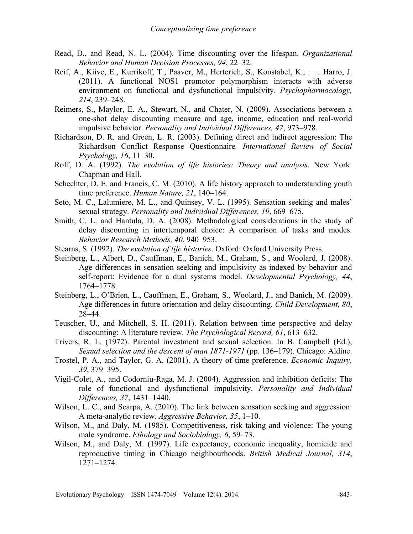- Read, D., and Read, N. L. (2004). Time discounting over the lifespan. *Organizational Behavior and Human Decision Processes, 94*, 22–32.
- Reif, A., Kiive, E., Kurrikoff, T., Paaver, M., Herterich, S., Konstabel, K., . . . Harro, J. (2011). A functional NOS1 promotor polymorphism interacts with adverse environment on functional and dysfunctional impulsivity. *Psychopharmocology, 214*, 239–248.
- Reimers, S., Maylor, E. A., Stewart, N., and Chater, N. (2009). Associations between a one-shot delay discounting measure and age, income, education and real-world impulsive behavior. *Personality and Individual Differences, 47*, 973–978.
- Richardson, D. R. and Green, L. R. (2003). Defining direct and indirect aggression: The Richardson Conflict Response Questionnaire*. International Review of Social Psychology, 16*, 11–30.
- Roff, D. A. (1992). *The evolution of life histories: Theory and analysis*. New York: Chapman and Hall.
- Schechter, D. E. and Francis, C. M. (2010). A life history approach to understanding youth time preference. *Human Nature, 21*, 140–164.
- Seto, M. C., Lalumiere, M. L., and Quinsey, V. L. (1995). Sensation seeking and males' sexual strategy. *Personality and Individual Differences, 19*, 669–675.
- Smith, C. L. and Hantula, D. A. (2008). Methodological considerations in the study of delay discounting in intertemporal choice: A comparison of tasks and modes. *Behavior Research Methods, 40*, 940–953.
- Stearns, S. (1992). *The evolution of life histories*. Oxford: Oxford University Press.
- Steinberg, L., Albert, D., Cauffman, E., Banich, M., Graham, S., and Woolard, J. (2008). Age differences in sensation seeking and impulsivity as indexed by behavior and self-report: Evidence for a dual systems model. *Developmental Psychology, 44*, 1764–1778.
- Steinberg, L., O'Brien, L., Cauffman, E., Graham, S., Woolard, J., and Banich, M. (2009). Age differences in future orientation and delay discounting. *Child Development, 80*, 28–44.
- Teuscher, U., and Mitchell, S. H. (2011). Relation between time perspective and delay discounting: A literature review. *The Psychological Record, 61*, 613–632.
- Trivers, R. L. (1972). Parental investment and sexual selection. In B. Campbell (Ed.), *Sexual selection and the descent of man 1871-1971* (pp. 136–179). Chicago: Aldine.
- Trostel, P. A., and Taylor, G. A. (2001). A theory of time preference. *Economic Inquiry, 39*, 379–395.
- Vigil-Colet, A., and Codorniu-Raga, M. J. (2004). Aggression and inhibition deficits: The role of functional and dysfunctional impulsivity. *Personality and Individual Differences, 37*, 1431–1440.
- Wilson, L. C., and Scarpa, A. (2010). The link between sensation seeking and aggression: A meta-analytic review. *Aggressive Behavior, 35*, 1–10.
- Wilson, M., and Daly, M. (1985). Competitiveness, risk taking and violence: The young male syndrome. *Ethology and Sociobiology, 6*, 59–73.
- Wilson, M., and Daly, M. (1997). Life expectancy, economic inequality, homicide and reproductive timing in Chicago neighbourhoods. *British Medical Journal, 314*, 1271–1274.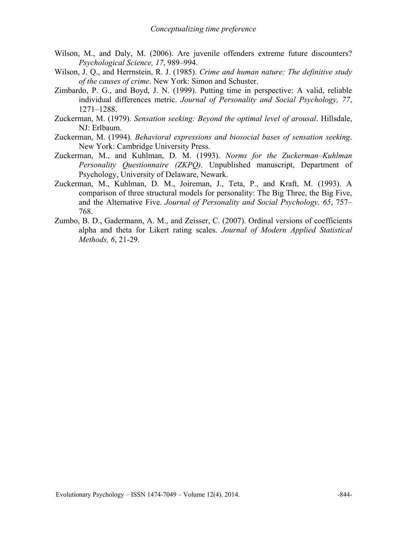- Wilson, M., and Daly, M. (2006). Are juvenile offenders extreme future discounters? *Psychological Science, 17*, 989–994.
- Wilson, J. Q., and Herrnstein, R. J. (1985). *Crime and human nature: The definitive study of the causes of crime*. New York: Simon and Schuster.
- Zimbardo, P. G., and Boyd, J. N. (1999). Putting time in perspective: A valid, reliable individual differences metric. *Journal of Personality and Social Psychology, 77*, 1271–1288.
- Zuckerman, M. (1979). *Sensation seeking: Beyond the optimal level of arousal*. Hillsdale, NJ: Erlbaum.
- Zuckerman, M. (1994). *Behavioral expressions and biosocial bases of sensation seeking*. New York: Cambridge University Press.
- Zuckerman, M., and Kuhlman, D. M. (1993). *Norms for the Zuckerman–Kuhlman Personality Questionnaire (ZKPQ)*. Unpublished manuscript, Department of Psychology, University of Delaware, Newark.
- Zuckerman, M., Kuhlman, D. M., Joireman, J., Teta, P., and Kraft, M. (1993). A comparison of three structural models for personality: The Big Three, the Big Five, and the Alternative Five. *Journal of Personality and Social Psychology, 65*, 757– 768.
- Zumbo, B. D., Gadermann, A. M., and Zeisser, C. (2007). Ordinal versions of coefficients alpha and theta for Likert rating scales. *Journal of Modern Applied Statistical Methods, 6*, 21-29.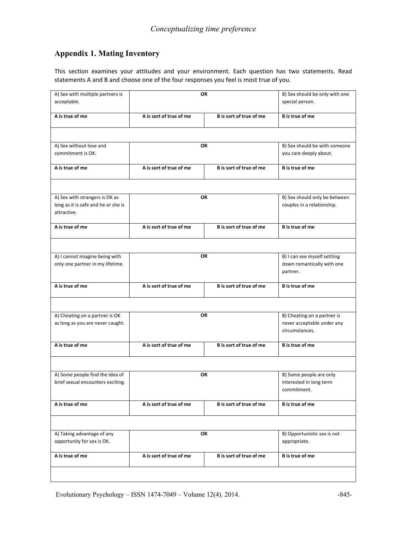# **Appendix 1. Mating Inventory**

This section examines your attitudes and your environment. Each question has two statements. Read statements A and B and choose one of the four responses you feel is most true of you.

| A) Sex with multiple partners is                   |                         | OR                             |                               |
|----------------------------------------------------|-------------------------|--------------------------------|-------------------------------|
|                                                    |                         | B) Sex should be only with one |                               |
| acceptable.                                        |                         |                                | special person.               |
| A is true of me                                    | A is sort of true of me | B is sort of true of me        | <b>B</b> is true of me        |
|                                                    |                         |                                |                               |
| A) Sex without love and                            |                         | OR                             | B) Sex should be with someone |
| commitment is OK.                                  |                         |                                | you care deeply about.        |
| A is true of me                                    | A is sort of true of me | B is sort of true of me        | <b>B</b> is true of me        |
|                                                    |                         |                                |                               |
| A) Sex with strangers is OK as                     |                         | <b>OR</b>                      | B) Sex should only be between |
| long as it is safe and he or she is<br>attractive. |                         |                                | couples in a relationship.    |
| A is true of me                                    | A is sort of true of me | B is sort of true of me        | <b>B</b> is true of me        |
|                                                    |                         |                                |                               |
| A) I cannot imagine being with                     |                         | OR                             | B) I can see myself settling  |
| only one partner in my lifetime.                   |                         |                                | down romantically with one    |
|                                                    |                         |                                | partner.                      |
| A is true of me                                    | A is sort of true of me | B is sort of true of me        | <b>B</b> is true of me        |
|                                                    |                         |                                |                               |
| A) Cheating on a partner is OK                     |                         | OR                             | B) Cheating on a partner is   |
| as long as you are never caught.                   |                         |                                | never acceptable under any    |
|                                                    |                         |                                | circumstances.                |
| A is true of me                                    | A is sort of true of me | B is sort of true of me        | <b>B</b> is true of me        |
|                                                    |                         |                                |                               |
| A) Some people find the idea of                    |                         | OR                             | B) Some people are only       |
| brief sexual encounters exciting.                  |                         |                                | interested in long term       |
|                                                    |                         |                                | commitment.                   |
| A is true of me                                    | A is sort of true of me | B is sort of true of me        | B is true of me               |
|                                                    |                         |                                |                               |
|                                                    |                         |                                |                               |
| A) Taking advantage of any                         |                         | OR                             | B) Opportunistic sex is not   |
| opportunity for sex is OK.                         |                         |                                | appropriate.                  |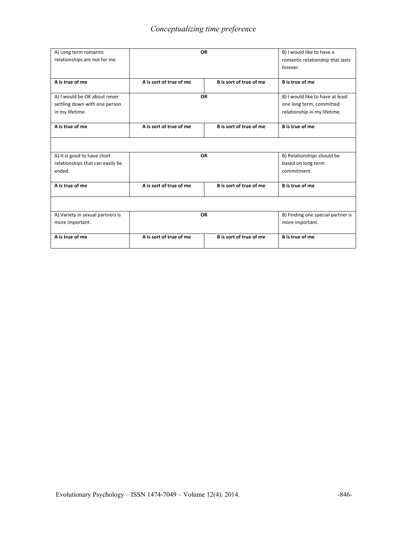| A) Long term romantic<br>relationships are not for me.        | <b>OR</b>               |                         | forever.                                                     |  | B) I would like to have a<br>romantic relationship that lasts |
|---------------------------------------------------------------|-------------------------|-------------------------|--------------------------------------------------------------|--|---------------------------------------------------------------|
| A is true of me                                               | A is sort of true of me | B is sort of true of me | <b>B</b> is true of me                                       |  |                                                               |
| A) I would be OK about never<br>settling down with one person |                         | <b>OR</b>               | B) I would like to have at least<br>one long term, committed |  |                                                               |
| in my lifetime.                                               |                         |                         | relationship in my lifetime.                                 |  |                                                               |
| A is true of me                                               | A is sort of true of me | B is sort of true of me | <b>B</b> is true of me                                       |  |                                                               |
|                                                               |                         |                         |                                                              |  |                                                               |
| A) It is good to have short                                   |                         | <b>OR</b>               | B) Relationships should be                                   |  |                                                               |
| relationships that can easily be                              |                         |                         | based on long term                                           |  |                                                               |
| ended.                                                        |                         |                         | commitment.                                                  |  |                                                               |
| A is true of me                                               | A is sort of true of me | B is sort of true of me | <b>B</b> is true of me                                       |  |                                                               |
|                                                               |                         |                         |                                                              |  |                                                               |
| A) Variety in sexual partners is<br>more important.           | <b>OR</b>               |                         | B) Finding one special partner is<br>more important.         |  |                                                               |
| A is true of me                                               | A is sort of true of me | B is sort of true of me | <b>B</b> is true of me                                       |  |                                                               |